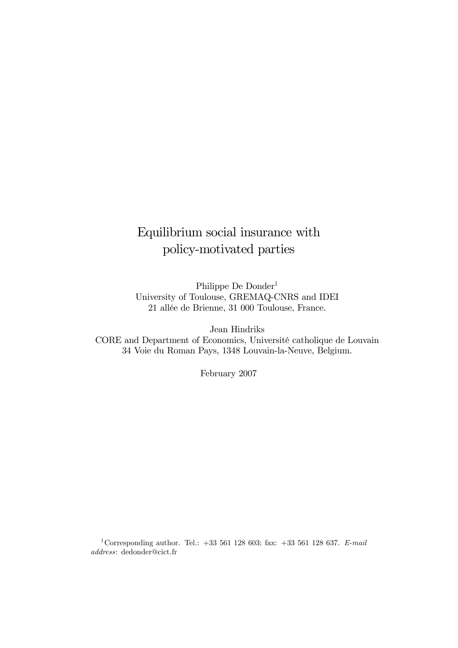# Equilibrium social insurance with policy-motivated parties

Philippe De Donder<sup>1</sup> University of Toulouse, GREMAQ-CNRS and IDEI 21 allée de Brienne, 31 000 Toulouse, France.

Jean Hindriks CORE and Department of Economics, Université catholique de Louvain 34 Voie du Roman Pays, 1348 Louvain-la-Neuve, Belgium.

February 2007

<sup>1</sup>Corresponding author. Tel.:  $+33\,561\,128\,603$ ; fax:  $+33\,561\,128\,637$ . *E-mail* address: dedonder@cict.fr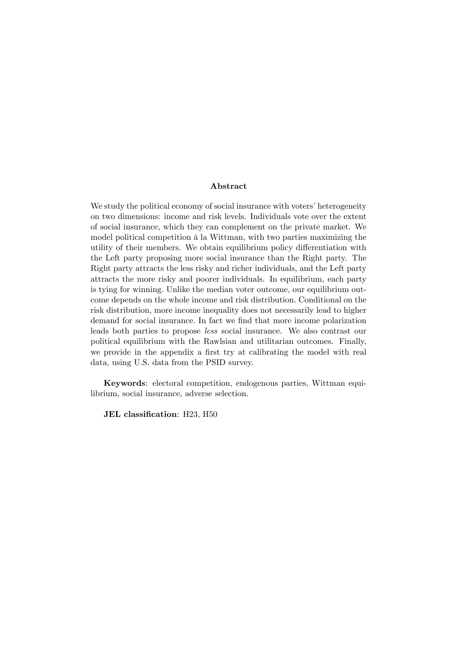#### Abstract

We study the political economy of social insurance with voters' heterogeneity on two dimensions: income and risk levels. Individuals vote over the extent of social insurance, which they can complement on the private market. We model political competition à la Wittman, with two parties maximizing the utility of their members. We obtain equilibrium policy differentiation with the Left party proposing more social insurance than the Right party. The Right party attracts the less risky and richer individuals, and the Left party attracts the more risky and poorer individuals. In equilibrium, each party is tying for winning. Unlike the median voter outcome, our equilibrium outcome depends on the whole income and risk distribution. Conditional on the risk distribution, more income inequality does not necessarily lead to higher demand for social insurance. In fact we find that more income polarization leads both parties to propose less social insurance. We also contrast our political equilibrium with the Rawlsian and utilitarian outcomes. Finally, we provide in the appendix a first try at calibrating the model with real data, using U.S. data from the PSID survey.

Keywords: electoral competition, endogenous parties, Wittman equilibrium, social insurance, adverse selection.

JEL classification: H23, H50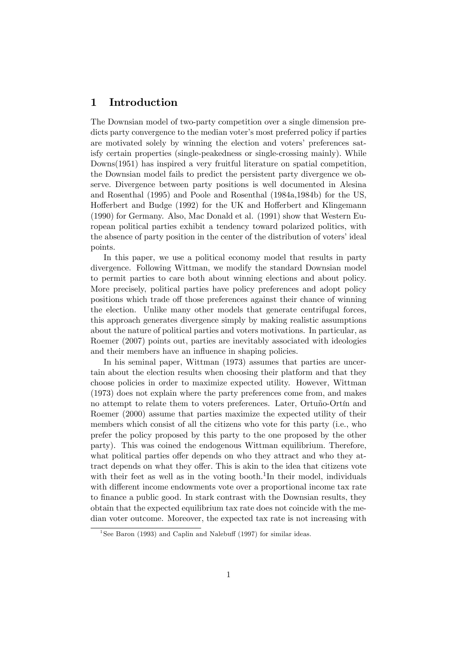### 1 Introduction

The Downsian model of two-party competition over a single dimension predicts party convergence to the median voter's most preferred policy if parties are motivated solely by winning the election and voters' preferences satisfy certain properties (single-peakedness or single-crossing mainly). While Downs(1951) has inspired a very fruitful literature on spatial competition, the Downsian model fails to predict the persistent party divergence we observe. Divergence between party positions is well documented in Alesina and Rosenthal (1995) and Poole and Rosenthal (1984a,1984b) for the US, Hofferbert and Budge (1992) for the UK and Hofferbert and Klingemann (1990) for Germany. Also, Mac Donald et al. (1991) show that Western European political parties exhibit a tendency toward polarized politics, with the absence of party position in the center of the distribution of voters' ideal points.

In this paper, we use a political economy model that results in party divergence. Following Wittman, we modify the standard Downsian model to permit parties to care both about winning elections and about policy. More precisely, political parties have policy preferences and adopt policy positions which trade off those preferences against their chance of winning the election. Unlike many other models that generate centrifugal forces, this approach generates divergence simply by making realistic assumptions about the nature of political parties and voters motivations. In particular, as Roemer (2007) points out, parties are inevitably associated with ideologies and their members have an influence in shaping policies.

In his seminal paper, Wittman (1973) assumes that parties are uncertain about the election results when choosing their platform and that they choose policies in order to maximize expected utility. However, Wittman (1973) does not explain where the party preferences come from, and makes no attempt to relate them to voters preferences. Later, Ortuño-Ortín and Roemer (2000) assume that parties maximize the expected utility of their members which consist of all the citizens who vote for this party (i.e., who prefer the policy proposed by this party to the one proposed by the other party). This was coined the endogenous Wittman equilibrium. Therefore, what political parties offer depends on who they attract and who they attract depends on what they offer. This is akin to the idea that citizens vote with their feet as well as in the voting booth.<sup>1</sup>In their model, individuals with different income endowments vote over a proportional income tax rate to Önance a public good. In stark contrast with the Downsian results, they obtain that the expected equilibrium tax rate does not coincide with the median voter outcome. Moreover, the expected tax rate is not increasing with

<sup>&</sup>lt;sup>1</sup>See Baron (1993) and Caplin and Nalebuff (1997) for similar ideas.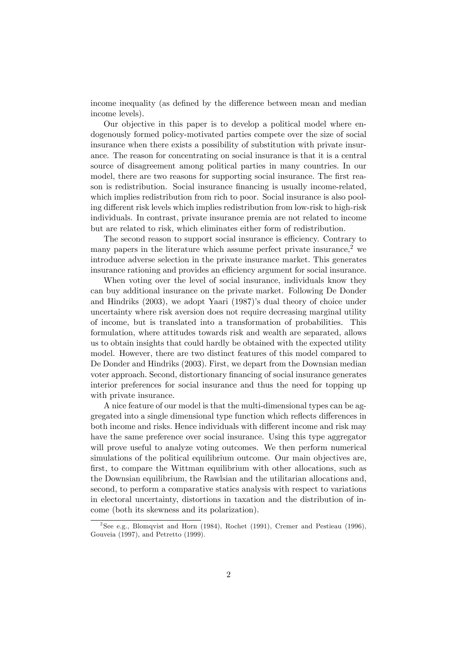income inequality (as defined by the difference between mean and median income levels).

Our objective in this paper is to develop a political model where endogenously formed policy-motivated parties compete over the size of social insurance when there exists a possibility of substitution with private insurance. The reason for concentrating on social insurance is that it is a central source of disagreement among political parties in many countries. In our model, there are two reasons for supporting social insurance. The first reason is redistribution. Social insurance financing is usually income-related, which implies redistribution from rich to poor. Social insurance is also pooling different risk levels which implies redistribution from low-risk to high-risk individuals. In contrast, private insurance premia are not related to income but are related to risk, which eliminates either form of redistribution.

The second reason to support social insurance is efficiency. Contrary to many papers in the literature which assume perfect private insurance, $2$  we introduce adverse selection in the private insurance market. This generates insurance rationing and provides an efficiency argument for social insurance.

When voting over the level of social insurance, individuals know they can buy additional insurance on the private market. Following De Donder and Hindriks (2003), we adopt Yaari (1987)'s dual theory of choice under uncertainty where risk aversion does not require decreasing marginal utility of income, but is translated into a transformation of probabilities. This formulation, where attitudes towards risk and wealth are separated, allows us to obtain insights that could hardly be obtained with the expected utility model. However, there are two distinct features of this model compared to De Donder and Hindriks (2003). First, we depart from the Downsian median voter approach. Second, distortionary financing of social insurance generates interior preferences for social insurance and thus the need for topping up with private insurance.

A nice feature of our model is that the multi-dimensional types can be aggregated into a single dimensional type function which reflects differences in both income and risks. Hence individuals with different income and risk may have the same preference over social insurance. Using this type aggregator will prove useful to analyze voting outcomes. We then perform numerical simulations of the political equilibrium outcome. Our main objectives are, first, to compare the Wittman equilibrium with other allocations, such as the Downsian equilibrium, the Rawlsian and the utilitarian allocations and, second, to perform a comparative statics analysis with respect to variations in electoral uncertainty, distortions in taxation and the distribution of income (both its skewness and its polarization).

<sup>&</sup>lt;sup>2</sup>See e.g., Blomqvist and Horn (1984), Rochet (1991), Cremer and Pestieau (1996), Gouveia (1997), and Petretto (1999).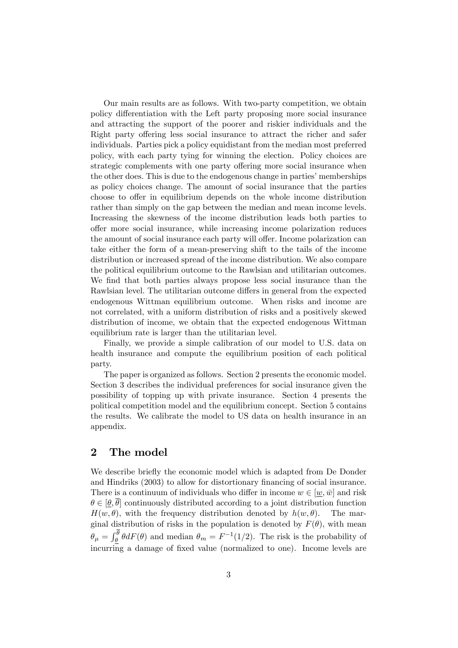Our main results are as follows. With two-party competition, we obtain policy differentiation with the Left party proposing more social insurance and attracting the support of the poorer and riskier individuals and the Right party offering less social insurance to attract the richer and safer individuals. Parties pick a policy equidistant from the median most preferred policy, with each party tying for winning the election. Policy choices are strategic complements with one party offering more social insurance when the other does. This is due to the endogenous change in parties' memberships as policy choices change. The amount of social insurance that the parties choose to offer in equilibrium depends on the whole income distribution rather than simply on the gap between the median and mean income levels. Increasing the skewness of the income distribution leads both parties to o§er more social insurance, while increasing income polarization reduces the amount of social insurance each party will offer. Income polarization can take either the form of a mean-preserving shift to the tails of the income distribution or increased spread of the income distribution. We also compare the political equilibrium outcome to the Rawlsian and utilitarian outcomes. We find that both parties always propose less social insurance than the Rawlsian level. The utilitarian outcome differs in general from the expected endogenous Wittman equilibrium outcome. When risks and income are not correlated, with a uniform distribution of risks and a positively skewed distribution of income, we obtain that the expected endogenous Wittman equilibrium rate is larger than the utilitarian level.

Finally, we provide a simple calibration of our model to U.S. data on health insurance and compute the equilibrium position of each political party.

The paper is organized as follows. Section 2 presents the economic model. Section 3 describes the individual preferences for social insurance given the possibility of topping up with private insurance. Section 4 presents the political competition model and the equilibrium concept. Section 5 contains the results. We calibrate the model to US data on health insurance in an appendix.

### 2 The model

We describe briefly the economic model which is adapted from De Donder and Hindriks (2003) to allow for distortionary financing of social insurance. There is a continuum of individuals who differ in income  $w \in [w, \bar{w}]$  and risk  $\theta \in [\underline{\theta}, \overline{\theta}]$  continuously distributed according to a joint distribution function  $H(w, \theta)$ , with the frequency distribution denoted by  $h(w, \theta)$ . The mar- $H(w, \theta)$ , with the frequency distribution denoted by  $h(w, \theta)$ . ginal distribution of risks in the population is denoted by  $F(\theta)$ , with mean  $\theta_{\mu} = \int_{\theta}^{\theta} \theta dF(\theta)$  and median  $\theta_m = F^{-1}(1/2)$ . The risk is the probability of incurring a damage of fixed value (normalized to one). Income levels are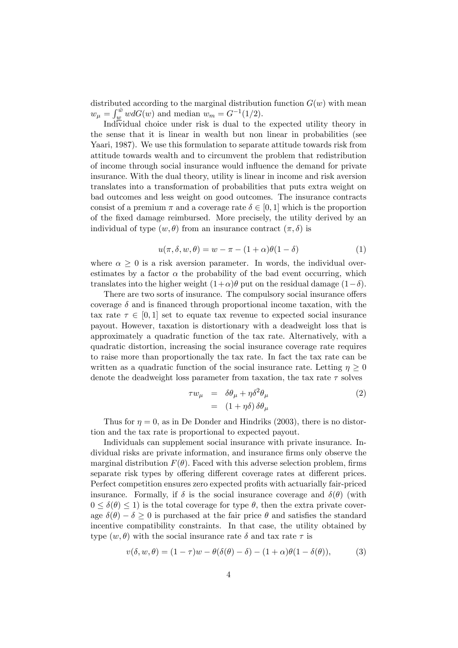distributed according to the marginal distribution function  $G(w)$  with mean  $w_{\mu} = \int_{\underline{w}}^{\overline{w}} wdG(w)$  and median  $w_m = G^{-1}(1/2)$ .

Individual choice under risk is dual to the expected utility theory in the sense that it is linear in wealth but non linear in probabilities (see Yaari, 1987). We use this formulation to separate attitude towards risk from attitude towards wealth and to circumvent the problem that redistribution of income through social insurance would ináuence the demand for private insurance. With the dual theory, utility is linear in income and risk aversion translates into a transformation of probabilities that puts extra weight on bad outcomes and less weight on good outcomes. The insurance contracts consist of a premium  $\pi$  and a coverage rate  $\delta \in [0, 1]$  which is the proportion of the fixed damage reimbursed. More precisely, the utility derived by an individual of type  $(w, \theta)$  from an insurance contract  $(\pi, \delta)$  is

$$
u(\pi, \delta, w, \theta) = w - \pi - (1 + \alpha)\theta(1 - \delta)
$$
 (1)

where  $\alpha \geq 0$  is a risk aversion parameter. In words, the individual overestimates by a factor  $\alpha$  the probability of the bad event occurring, which translates into the higher weight  $(1+\alpha)\theta$  put on the residual damage  $(1-\delta)$ .

There are two sorts of insurance. The compulsory social insurance offers coverage  $\delta$  and is financed through proportional income taxation, with the tax rate  $\tau \in [0, 1]$  set to equate tax revenue to expected social insurance payout. However, taxation is distortionary with a deadweight loss that is approximately a quadratic function of the tax rate. Alternatively, with a quadratic distortion, increasing the social insurance coverage rate requires to raise more than proportionally the tax rate. In fact the tax rate can be written as a quadratic function of the social insurance rate. Letting  $n \geq 0$ denote the deadweight loss parameter from taxation, the tax rate  $\tau$  solves

$$
\tau w_{\mu} = \delta \theta_{\mu} + \eta \delta^2 \theta_{\mu} \n= (1 + \eta \delta) \delta \theta_{\mu}
$$
\n(2)

Thus for  $\eta = 0$ , as in De Donder and Hindriks (2003), there is no distortion and the tax rate is proportional to expected payout.

Individuals can supplement social insurance with private insurance. Individual risks are private information, and insurance firms only observe the marginal distribution  $F(\theta)$ . Faced with this adverse selection problem, firms separate risk types by offering different coverage rates at different prices. Perfect competition ensures zero expected profits with actuarially fair-priced insurance. Formally, if  $\delta$  is the social insurance coverage and  $\delta(\theta)$  (with  $0 \leq \delta(\theta) \leq 1$  is the total coverage for type  $\theta$ , then the extra private coverage  $\delta(\theta) - \delta \geq 0$  is purchased at the fair price  $\theta$  and satisfies the standard incentive compatibility constraints. In that case, the utility obtained by type  $(w, \theta)$  with the social insurance rate  $\delta$  and tax rate  $\tau$  is

$$
v(\delta, w, \theta) = (1 - \tau)w - \theta(\delta(\theta) - \delta) - (1 + \alpha)\theta(1 - \delta(\theta)), \tag{3}
$$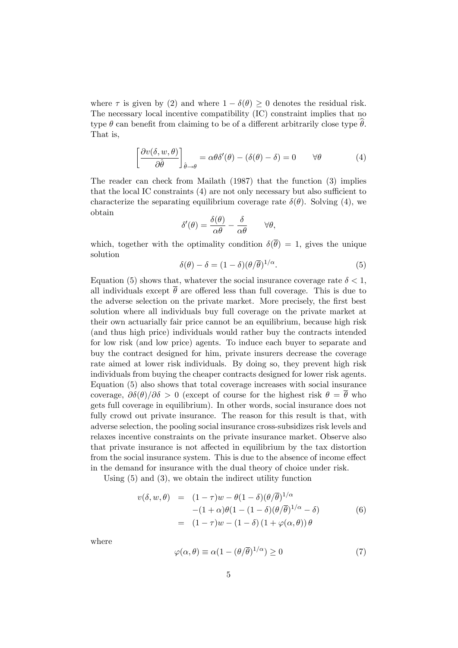where  $\tau$  is given by (2) and where  $1 - \delta(\theta) \geq 0$  denotes the residual risk. The necessary local incentive compatibility (IC) constraint implies that no type  $\theta$  can benefit from claiming to be of a different arbitrarily close type  $\theta$ . That is,

$$
\left[\frac{\partial v(\delta, w, \theta)}{\partial \hat{\theta}}\right]_{\hat{\theta} \to \theta} = \alpha \theta \delta'(\theta) - (\delta(\theta) - \delta) = 0 \qquad \forall \theta \tag{4}
$$

The reader can check from Mailath (1987) that the function (3) implies that the local IC constraints  $(4)$  are not only necessary but also sufficient to characterize the separating equilibrium coverage rate  $\delta(\theta)$ . Solving (4), we obtain

$$
\delta'(\theta) = \frac{\delta(\theta)}{\alpha \theta} - \frac{\delta}{\alpha \theta} \qquad \forall \theta,
$$

which, together with the optimality condition  $\delta(\overline{\theta}) = 1$ , gives the unique solution

$$
\delta(\theta) - \delta = (1 - \delta)(\theta/\overline{\theta})^{1/\alpha}.
$$
 (5)

Equation (5) shows that, whatever the social insurance coverage rate  $\delta < 1$ , all individuals except  $\bar{\theta}$  are offered less than full coverage. This is due to the adverse selection on the private market. More precisely, the first best solution where all individuals buy full coverage on the private market at their own actuarially fair price cannot be an equilibrium, because high risk (and thus high price) individuals would rather buy the contracts intended for low risk (and low price) agents. To induce each buyer to separate and buy the contract designed for him, private insurers decrease the coverage rate aimed at lower risk individuals. By doing so, they prevent high risk individuals from buying the cheaper contracts designed for lower risk agents. Equation (5) also shows that total coverage increases with social insurance coverage,  $\partial \delta(\theta)/\partial \delta > 0$  (except of course for the highest risk  $\theta = \overline{\theta}$  who gets full coverage in equilibrium). In other words, social insurance does not fully crowd out private insurance. The reason for this result is that, with adverse selection, the pooling social insurance cross-subsidizes risk levels and relaxes incentive constraints on the private insurance market. Observe also that private insurance is not affected in equilibrium by the tax distortion from the social insurance system. This is due to the absence of income effect in the demand for insurance with the dual theory of choice under risk.

Using (5) and (3), we obtain the indirect utility function

$$
v(\delta, w, \theta) = (1 - \tau)w - \theta(1 - \delta)(\theta/\overline{\theta})^{1/\alpha}
$$
  
-(1 + \alpha)\theta(1 - (1 - \delta)(\theta/\overline{\theta})^{1/\alpha} - \delta)  
= (1 - \tau)w - (1 - \delta)(1 + \varphi(\alpha, \theta))\theta (6)

where

$$
\varphi(\alpha,\theta) \equiv \alpha (1 - (\theta/\overline{\theta})^{1/\alpha}) \ge 0 \tag{7}
$$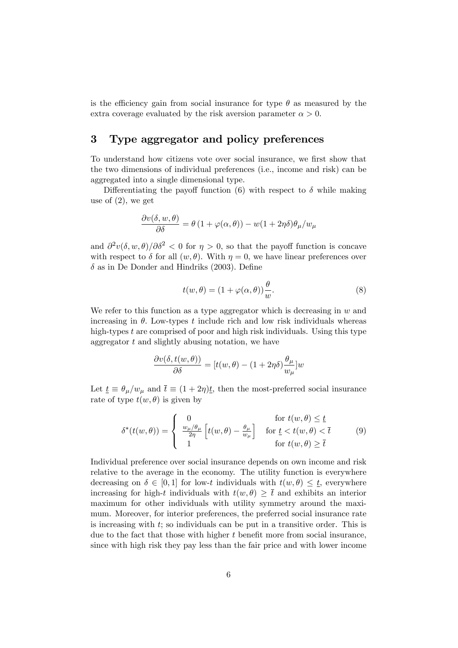is the efficiency gain from social insurance for type  $\theta$  as measured by the extra coverage evaluated by the risk aversion parameter  $\alpha > 0$ .

## 3 Type aggregator and policy preferences

To understand how citizens vote over social insurance, we Örst show that the two dimensions of individual preferences (i.e., income and risk) can be aggregated into a single dimensional type.

Differentiating the payoff function (6) with respect to  $\delta$  while making use of  $(2)$ , we get

$$
\frac{\partial v(\delta, w, \theta)}{\partial \delta} = \theta (1 + \varphi(\alpha, \theta)) - w(1 + 2\eta \delta) \theta_{\mu}/w_{\mu}
$$

and  $\frac{\partial^2 v(\delta, w, \theta)}{\partial \delta^2} < 0$  for  $\eta > 0$ , so that the payoff function is concave with respect to  $\delta$  for all  $(w, \theta)$ . With  $\eta = 0$ , we have linear preferences over  $\delta$  as in De Donder and Hindriks (2003). Define

$$
t(w,\theta) = (1 + \varphi(\alpha,\theta))\frac{\theta}{w}.
$$
\n(8)

We refer to this function as a type aggregator which is decreasing in  $w$  and increasing in  $\theta$ . Low-types t include rich and low risk individuals whereas high-types t are comprised of poor and high risk individuals. Using this type aggregator  $t$  and slightly abusing notation, we have

$$
\frac{\partial v(\delta,t(w,\theta))}{\partial\delta} = [t(w,\theta) - (1+2\eta\delta)\frac{\theta_{\mu}}{w_{\mu}}]w
$$

Let  $\underline{t} \equiv \theta_{\mu}/w_{\mu}$  and  $\overline{t} \equiv (1 + 2\eta)\underline{t}$ , then the most-preferred social insurance rate of type  $t(w, \theta)$  is given by

$$
\delta^*(t(w,\theta)) = \begin{cases}\n0 & \text{for } t(w,\theta) \leq \underline{t} \\
\frac{w_\mu/\theta_\mu}{2\eta} \left[ t(w,\theta) - \frac{\theta_\mu}{w_\mu} \right] & \text{for } \underline{t} < t(w,\theta) < \overline{t} \\
1 & \text{for } t(w,\theta) \geq \overline{t}\n\end{cases}
$$
\n(9)

Individual preference over social insurance depends on own income and risk relative to the average in the economy. The utility function is everywhere decreasing on  $\delta \in [0, 1]$  for low-t individuals with  $t(w, \theta) \leq \underline{t}$ , everywhere increasing for high-t individuals with  $t(w, \theta) \geq \overline{t}$  and exhibits an interior maximum for other individuals with utility symmetry around the maximum. Moreover, for interior preferences, the preferred social insurance rate is increasing with  $t$ ; so individuals can be put in a transitive order. This is due to the fact that those with higher  $t$  benefit more from social insurance, since with high risk they pay less than the fair price and with lower income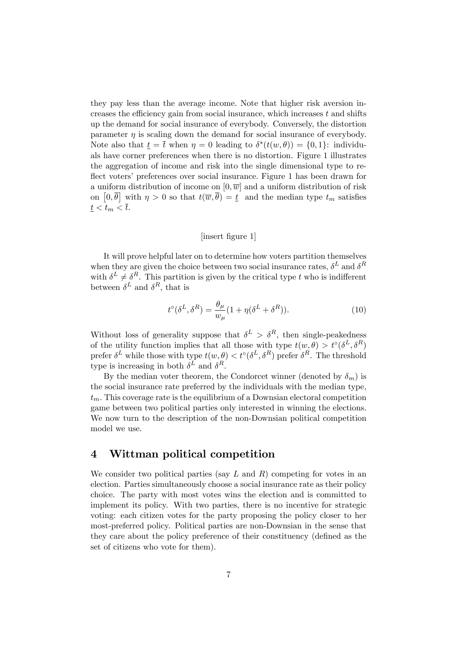they pay less than the average income. Note that higher risk aversion increases the efficiency gain from social insurance, which increases  $t$  and shifts up the demand for social insurance of everybody. Conversely, the distortion parameter  $\eta$  is scaling down the demand for social insurance of everybody. Note also that  $\underline{t} = \overline{t}$  when  $\eta = 0$  leading to  $\delta^*(t(w, \theta)) = \{0, 1\}$ : individuals have corner preferences when there is no distortion. Figure 1 illustrates the aggregation of income and risk into the single dimensional type to reflect voters' preferences over social insurance. Figure 1 has been drawn for a uniform distribution of income on  $[0, \overline{w}]$  and a uniform distribution of risk on  $[0,\overline{\theta}]$  with  $\eta > 0$  so that  $t(\overline{w}, \overline{\theta}) = \underline{t}$  and the median type  $t_m$  satisfies  $\underline{t} < t_m < \overline{t}.$ 

#### [insert figure 1]

It will prove helpful later on to determine how voters partition themselves when they are given the choice between two social insurance rates,  $\delta^L$  and  $\delta^R$ with  $\delta^L \neq \delta^R$ . This partition is given by the critical type t who is indifferent between  $\delta^L$  and  $\delta^R$ , that is

$$
t^{\circ}(\delta^L, \delta^R) = \frac{\theta_{\mu}}{w_{\mu}} (1 + \eta(\delta^L + \delta^R)).
$$
\n(10)

Without loss of generality suppose that  $\delta^L > \delta^R$ , then single-peakedness of the utility function implies that all those with type  $t(w, \theta) > t^{\circ}(\delta^L, \delta^R)$ prefer  $\delta^L$  while those with type  $t(w, \theta) < t^{\circ}(\delta^L, \delta^R)$  prefer  $\delta^R$ . The threshold type is increasing in both  $\delta^L$  and  $\delta^R$ .

By the median voter theorem, the Condorcet winner (denoted by  $\delta_m$ ) is the social insurance rate preferred by the individuals with the median type,  $t_m$ . This coverage rate is the equilibrium of a Downsian electoral competition game between two political parties only interested in winning the elections. We now turn to the description of the non-Downsian political competition model we use.

### 4 Wittman political competition

We consider two political parties (say  $L$  and  $R$ ) competing for votes in an election. Parties simultaneously choose a social insurance rate as their policy choice. The party with most votes wins the election and is committed to implement its policy. With two parties, there is no incentive for strategic voting: each citizen votes for the party proposing the policy closer to her most-preferred policy. Political parties are non-Downsian in the sense that they care about the policy preference of their constituency (defined as the set of citizens who vote for them).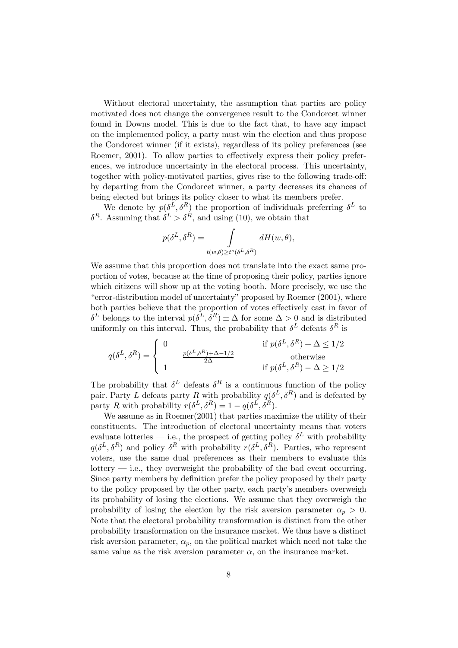Without electoral uncertainty, the assumption that parties are policy motivated does not change the convergence result to the Condorcet winner found in Downs model. This is due to the fact that, to have any impact on the implemented policy, a party must win the election and thus propose the Condorcet winner (if it exists), regardless of its policy preferences (see Roemer, 2001). To allow parties to effectively express their policy preferences, we introduce uncertainty in the electoral process. This uncertainty, together with policy-motivated parties, gives rise to the following trade-off: by departing from the Condorcet winner, a party decreases its chances of being elected but brings its policy closer to what its members prefer.

We denote by  $p(\delta^L, \delta^R)$  the proportion of individuals preferring  $\delta^L$  to  $\delta^R$ . Assuming that  $\delta^L > \delta^R$ , and using (10), we obtain that

$$
p(\delta^L, \delta^R) = \int\limits_{t(w,\theta) \ge t^{\circ}(\delta^L, \delta^R)} dH(w,\theta),
$$

We assume that this proportion does not translate into the exact same proportion of votes, because at the time of proposing their policy, parties ignore which citizens will show up at the voting booth. More precisely, we use the  $\degree$ error-distribution model of uncertainty" proposed by Roemer (2001), where both parties believe that the proportion of votes effectively cast in favor of  $\delta^L$  belongs to the interval  $p(\delta^L, \delta^R) \pm \Delta$  for some  $\Delta > 0$  and is distributed uniformly on this interval. Thus, the probability that  $\delta^L$  defeats  $\delta^R$  is

$$
q(\delta^L, \delta^R) = \begin{cases} 0 & \text{if } p(\delta^L, \delta^R) + \Delta \le 1/2 \\ 1 & \text{otherwise} \end{cases}
$$
  

$$
p(\delta^L, \delta^R) + \Delta \le 1/2
$$
  

$$
p(\delta^L, \delta^R) - \Delta \ge 1/2
$$

The probability that  $\delta^L$  defeats  $\delta^R$  is a continuous function of the policy pair. Party L defeats party R with probability  $q(\delta^L, \delta^R)$  and is defeated by party R with probability  $r(\delta^L, \delta^R) = 1 - q(\delta^L, \delta^R)$ .

We assume as in Roemer(2001) that parties maximize the utility of their constituents. The introduction of electoral uncertainty means that voters evaluate lotteries — i.e., the prospect of getting policy  $\delta^L$  with probability  $q(\delta^L, \delta^R)$  and policy  $\delta^R$  with probability  $r(\delta^L, \delta^R)$ . Parties, who represent voters, use the same dual preferences as their members to evaluate this lottery  $\overline{\phantom{a}}$  i.e., they overweight the probability of the bad event occurring. Since party members by definition prefer the policy proposed by their party to the policy proposed by the other party, each party's members overweigh its probability of losing the elections. We assume that they overweigh the probability of losing the election by the risk aversion parameter  $\alpha_p > 0$ . Note that the electoral probability transformation is distinct from the other probability transformation on the insurance market. We thus have a distinct risk aversion parameter,  $\alpha_p$ , on the political market which need not take the same value as the risk aversion parameter  $\alpha$ , on the insurance market.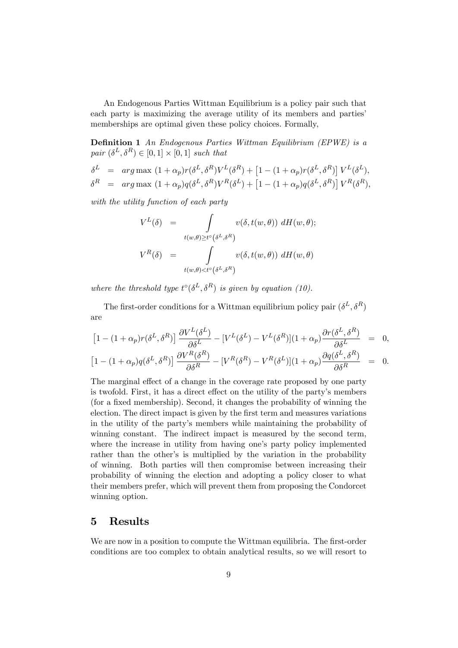An Endogenous Parties Wittman Equilibrium is a policy pair such that each party is maximizing the average utility of its members and parties memberships are optimal given these policy choices. Formally,

Definition 1 An Endogenous Parties Wittman Equilibrium (EPWE) is a pair  $(\delta^L, \delta^R) \in [0, 1] \times [0, 1]$  such that

$$
\delta^{L} = arg \max (1 + \alpha_{p}) r(\delta^{L}, \delta^{R}) V^{L}(\delta^{R}) + [1 - (1 + \alpha_{p}) r(\delta^{L}, \delta^{R})] V^{L}(\delta^{L}),
$$
  

$$
\delta^{R} = arg \max (1 + \alpha_{p}) q(\delta^{L}, \delta^{R}) V^{R}(\delta^{L}) + [1 - (1 + \alpha_{p}) q(\delta^{L}, \delta^{R})] V^{R}(\delta^{R}),
$$

with the utility function of each party

$$
V^{L}(\delta) = \int_{t(w,\theta) \ge t^{o}(\delta^{L}, \delta^{R})} v(\delta, t(w, \theta)) dH(w, \theta);
$$
  

$$
V^{R}(\delta) = \int_{t(w,\theta) < t^{o}(\delta^{L}, \delta^{R})} v(\delta, t(w, \theta)) dH(w, \theta)
$$

where the threshold type  $t^{\circ}(\delta^L, \delta^R)$  is given by equation (10).

The first-order conditions for a Wittman equilibrium policy pair  $(\delta^L, \delta^R)$ are

$$
\left[1 - (1 + \alpha_p)r(\delta^L, \delta^R)\right] \frac{\partial V^L(\delta^L)}{\partial \delta^L} - [V^L(\delta^L) - V^L(\delta^R)](1 + \alpha_p)\frac{\partial r(\delta^L, \delta^R)}{\partial \delta^L} = 0,
$$

$$
\left[1 - (1 + \alpha_p)q(\delta^L, \delta^R)\right] \frac{\partial V^R(\delta^R)}{\partial \delta^R} - [V^R(\delta^R) - V^R(\delta^L)](1 + \alpha_p)\frac{\partial q(\delta^L, \delta^R)}{\partial \delta^R} = 0.
$$

The marginal effect of a change in the coverage rate proposed by one party is twofold. First, it has a direct effect on the utility of the party's members (for a fixed membership). Second, it changes the probability of winning the election. The direct impact is given by the first term and measures variations in the utility of the partyís members while maintaining the probability of winning constant. The indirect impact is measured by the second term, where the increase in utility from having one's party policy implemented rather than the other's is multiplied by the variation in the probability of winning. Both parties will then compromise between increasing their probability of winning the election and adopting a policy closer to what their members prefer, which will prevent them from proposing the Condorcet winning option.

### 5 Results

We are now in a position to compute the Wittman equilibria. The first-order conditions are too complex to obtain analytical results, so we will resort to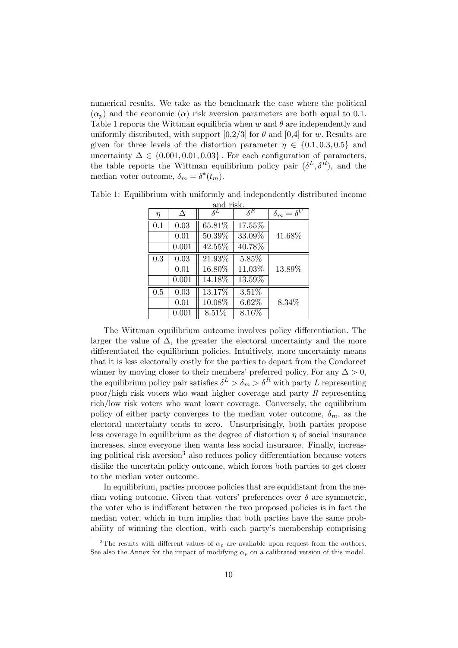numerical results. We take as the benchmark the case where the political  $(\alpha_p)$  and the economic  $(\alpha)$  risk aversion parameters are both equal to 0.1. Table 1 reports the Wittman equilibria when w and  $\theta$  are independently and uniformly distributed, with support  $[0,2/3]$  for  $\theta$  and  $[0,4]$  for w. Results are given for three levels of the distortion parameter  $\eta \in \{0.1, 0.3, 0.5\}$  and uncertainty  $\Delta \in \{0.001, 0.01, 0.03\}$ . For each configuration of parameters, the table reports the Wittman equilibrium policy pair  $(\delta^L, \delta^R)$ , and the median voter outcome,  $\delta_m = \delta^*(t_m)$ .

| and risk. |       |            |            |                              |  |
|-----------|-------|------------|------------|------------------------------|--|
| $\eta$    | Л     | $\delta^L$ | $\delta^R$ | $\delta_m = \delta^{\cal C}$ |  |
| 0.1       | 0.03  | 65.81%     | 17.55%     |                              |  |
|           | 0.01  | $50.39\%$  | 33.09%     | 41.68%                       |  |
|           | 0.001 | 42.55%     | 40.78%     |                              |  |
| 0.3       | 0.03  | 21.93%     | 5.85%      |                              |  |
|           | 0.01  | 16.80%     | 11.03%     | 13.89%                       |  |
|           | 0.001 | $14.18\%$  | 13.59%     |                              |  |
| 0.5       | 0.03  | 13.17%     | 3.51%      |                              |  |
|           | 0.01  | 10.08%     | $6.62\%$   | $8.34\%$                     |  |
|           | 0.001 | 8.51%      | $8.16\%$   |                              |  |

Table 1: Equilibrium with uniformly and independently distributed income

The Wittman equilibrium outcome involves policy differentiation. The larger the value of  $\Delta$ , the greater the electoral uncertainty and the more differentiated the equilibrium policies. Intuitively, more uncertainty means that it is less electorally costly for the parties to depart from the Condorcet winner by moving closer to their members' preferred policy. For any  $\Delta > 0$ , the equilibrium policy pair satisfies  $\delta^L > \delta_m > \delta^R$  with party L representing poor/high risk voters who want higher coverage and party  $R$  representing rich/low risk voters who want lower coverage. Conversely, the equilibrium policy of either party converges to the median voter outcome,  $\delta_m$ , as the electoral uncertainty tends to zero. Unsurprisingly, both parties propose less coverage in equilibrium as the degree of distortion  $\eta$  of social insurance increases, since everyone then wants less social insurance. Finally, increasing political risk aversion<sup>3</sup> also reduces policy differentiation because voters dislike the uncertain policy outcome, which forces both parties to get closer to the median voter outcome.

In equilibrium, parties propose policies that are equidistant from the median voting outcome. Given that voters' preferences over  $\delta$  are symmetric, the voter who is indifferent between the two proposed policies is in fact the median voter, which in turn implies that both parties have the same probability of winning the election, with each party's membership comprising

<sup>&</sup>lt;sup>3</sup>The results with different values of  $\alpha_p$  are available upon request from the authors. See also the Annex for the impact of modifying  $\alpha_p$  on a calibrated version of this model.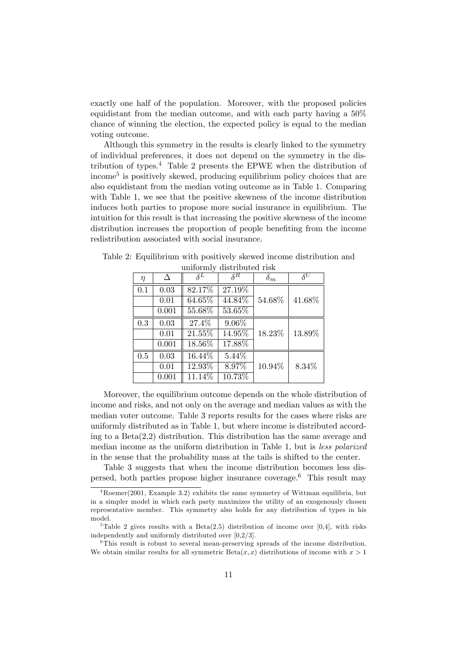exactly one half of the population. Moreover, with the proposed policies equidistant from the median outcome, and with each party having a 50% chance of winning the election, the expected policy is equal to the median voting outcome.

Although this symmetry in the results is clearly linked to the symmetry of individual preferences, it does not depend on the symmetry in the distribution of types.<sup>4</sup> Table 2 presents the EPWE when the distribution of income<sup>5</sup> is positively skewed, producing equilibrium policy choices that are also equidistant from the median voting outcome as in Table 1. Comparing with Table 1, we see that the positive skewness of the income distribution induces both parties to propose more social insurance in equilibrium. The intuition for this result is that increasing the positive skewness of the income distribution increases the proportion of people benefiting from the income redistribution associated with social insurance.

| 0.11110111117<br>$\alpha$ <sup>1</sup> |       |            |            |            |                    |
|----------------------------------------|-------|------------|------------|------------|--------------------|
| $\eta$                                 | Δ     | $\delta^L$ | $\delta^R$ | $\delta_m$ | $\delta^{\cal{L}}$ |
| 0.1                                    | 0.03  | 82.17%     | 27.19%     |            |                    |
|                                        | 0.01  | 64.65%     | 44.84%     | 54.68%     | 41.68%             |
|                                        | 0.001 | 55.68%     | $53.65\%$  |            |                    |
| 0.3                                    | 0.03  | 27.4%      | $9.06\%$   |            |                    |
|                                        | 0.01  | $21.55\%$  | 14.95%     | 18.23%     | 13.89%             |
|                                        | 0.001 | 18.56%     | 17.88%     |            |                    |
| 0.5                                    | 0.03  | 16.44%     | 5.44%      |            |                    |
|                                        | 0.01  | 12.93%     | 8.97%      | 10.94%     | 8.34%              |
|                                        | 0.001 | 11.14%     | 10.73%     |            |                    |

Table 2: Equilibrium with positively skewed income distribution and uniformly distributed risk

Moreover, the equilibrium outcome depends on the whole distribution of income and risks, and not only on the average and median values as with the median voter outcome. Table 3 reports results for the cases where risks are uniformly distributed as in Table 1, but where income is distributed according to a  $Beta(2,2)$  distribution. This distribution has the same average and median income as the uniform distribution in Table 1, but is less polarized in the sense that the probability mass at the tails is shifted to the center.

Table 3 suggests that when the income distribution becomes less dispersed, both parties propose higher insurance coverage.<sup>6</sup> This result may

 $4\text{Roemer} (2001, \text{Example } 3.2)$  exhibits the same symmetry of Wittman equilibria, but in a simpler model in which each party maximizes the utility of an exogenously chosen representative member. This symmetry also holds for any distribution of types in his model.

<sup>&</sup>lt;sup>5</sup>Table 2 gives results with a Beta $(2,5)$  distribution of income over [0,4], with risks independently and uniformly distributed over [0,2/3].

<sup>&</sup>lt;sup>6</sup>This result is robust to several mean-preserving spreads of the income distribution. We obtain similar results for all symmetric  $Beta(x, x)$  distributions of income with  $x > 1$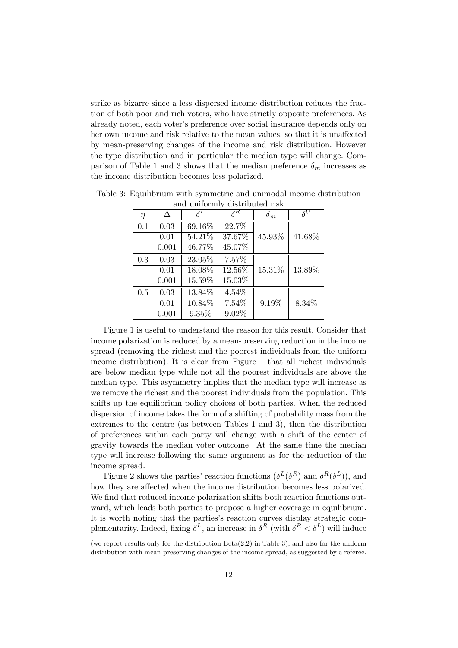strike as bizarre since a less dispersed income distribution reduces the fraction of both poor and rich voters, who have strictly opposite preferences. As already noted, each voterís preference over social insurance depends only on her own income and risk relative to the mean values, so that it is unaffected by mean-preserving changes of the income and risk distribution. However the type distribution and in particular the median type will change. Comparison of Table 1 and 3 shows that the median preference  $\delta_m$  increases as the income distribution becomes less polarized.

| and unnormly distributed risk |       |            |                       |            |            |
|-------------------------------|-------|------------|-----------------------|------------|------------|
| $\eta$                        | Л     | $\delta^L$ | $\overline{\delta^R}$ | $\delta_m$ | $\delta^U$ |
| 0.1                           | 0.03  | 69.16%     | 22.7%                 |            |            |
|                               | 0.01  | $54.21\%$  | 37.67%                | 45.93%     | 41.68%     |
|                               | 0.001 | 46.77%     | 45.07%                |            |            |
| 0.3                           | 0.03  | 23.05%     | 7.57%                 |            |            |
|                               | 0.01  | 18.08%     | 12.56%                | 15.31%     | 13.89%     |
|                               | 0.001 | 15.59%     | 15.03%                |            |            |
| 0.5                           | 0.03  | 13.84%     | $4.54\%$              |            |            |
|                               | 0.01  | 10.84%     | $7.5\overline{4\%}$   | 9.19%      | 8.34%      |
|                               | 0.001 | $9.35\%$   | $9.02\%$              |            |            |

Table 3: Equilibrium with symmetric and unimodal income distribution and uniformly distributed risk

Figure 1 is useful to understand the reason for this result. Consider that income polarization is reduced by a mean-preserving reduction in the income spread (removing the richest and the poorest individuals from the uniform income distribution). It is clear from Figure 1 that all richest individuals are below median type while not all the poorest individuals are above the median type. This asymmetry implies that the median type will increase as we remove the richest and the poorest individuals from the population. This shifts up the equilibrium policy choices of both parties. When the reduced dispersion of income takes the form of a shifting of probability mass from the extremes to the centre (as between Tables 1 and 3), then the distribution of preferences within each party will change with a shift of the center of gravity towards the median voter outcome. At the same time the median type will increase following the same argument as for the reduction of the income spread.

Figure 2 shows the parties' reaction functions  $(\delta^L(\delta^R)$  and  $\delta^R(\delta^L))$ , and how they are affected when the income distribution becomes less polarized. We find that reduced income polarization shifts both reaction functions outward, which leads both parties to propose a higher coverage in equilibrium. It is worth noting that the parties's reaction curves display strategic complementarity. Indeed, fixing  $\delta^L$ , an increase in  $\delta^R$  (with  $\delta^R < \delta^L$ ) will induce

<sup>(</sup>we report results only for the distribution  $Beta(2,2)$  in Table 3), and also for the uniform distribution with mean-preserving changes of the income spread, as suggested by a referee.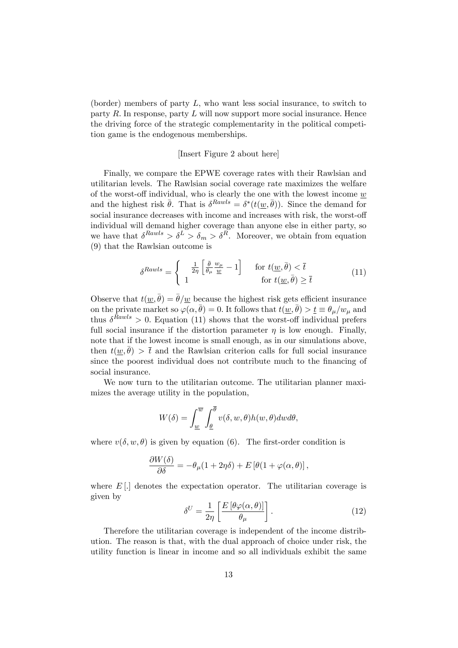(border) members of party  $L$ , who want less social insurance, to switch to party  $R$ . In response, party  $L$  will now support more social insurance. Hence the driving force of the strategic complementarity in the political competition game is the endogenous memberships.

#### [Insert Figure 2 about here]

Finally, we compare the EPWE coverage rates with their Rawlsian and utilitarian levels. The Rawlsian social coverage rate maximizes the welfare of the worst-off individual, who is clearly the one with the lowest income  $w$ and the highest risk  $\bar{\theta}$ . That is  $\delta^{Rawls} = \delta^*(t(\underline{w}, \bar{\theta}))$ . Since the demand for social insurance decreases with income and increases with risk, the worst-off individual will demand higher coverage than anyone else in either party, so we have that  $\delta^{Rawls} > \delta^L > \delta_m > \delta^R$ . Moreover, we obtain from equation (9) that the Rawlsian outcome is

$$
\delta^{Rawls} = \begin{cases}\n\frac{1}{2\eta} \left[ \frac{\bar{\theta}}{\theta_{\mu}} \frac{w_{\mu}}{\underline{w}} - 1 \right] & \text{for } t(\underline{w}, \bar{\theta}) < \bar{t} \\
1 & \text{for } t(\underline{w}, \bar{\theta}) \ge \bar{t}\n\end{cases}
$$
\n(11)

Observe that  $t(\underline{w}, \overline{\theta}) = \overline{\theta}/\underline{w}$  because the highest risk gets efficient insurance on the private market so  $\varphi(\alpha, \bar{\theta}) = 0$ . It follows that  $t(\underline{w}, \bar{\theta}) > t \equiv \theta_{\mu}/w_{\mu}$  and thus  $\delta^{Rawls} > 0$ . Equation (11) shows that the worst-off individual prefers full social insurance if the distortion parameter  $\eta$  is low enough. Finally, note that if the lowest income is small enough, as in our simulations above, then  $t(\underline{w}, \overline{\theta}) > \overline{t}$  and the Rawlsian criterion calls for full social insurance since the poorest individual does not contribute much to the financing of social insurance.

We now turn to the utilitarian outcome. The utilitarian planner maximizes the average utility in the population,

$$
W(\delta) = \int_{\underline{w}}^{\overline{w}} \int_{\underline{\theta}}^{\overline{\theta}} v(\delta, w, \theta) h(w, \theta) dw d\theta,
$$

where  $v(\delta, w, \theta)$  is given by equation (6). The first-order condition is

$$
\frac{\partial W(\delta)}{\partial \delta} = -\theta_{\mu}(1 + 2\eta \delta) + E[\theta(1 + \varphi(\alpha, \theta)],
$$

where  $E$ [.] denotes the expectation operator. The utilitarian coverage is given by

$$
\delta^U = \frac{1}{2\eta} \left[ \frac{E \left[ \theta \varphi(\alpha, \theta) \right]}{\theta_{\mu}} \right]. \tag{12}
$$

Therefore the utilitarian coverage is independent of the income distribution. The reason is that, with the dual approach of choice under risk, the utility function is linear in income and so all individuals exhibit the same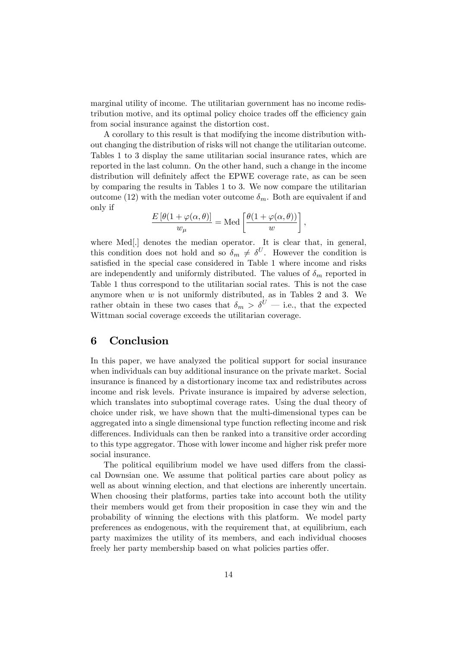marginal utility of income. The utilitarian government has no income redistribution motive, and its optimal policy choice trades off the efficiency gain from social insurance against the distortion cost.

A corollary to this result is that modifying the income distribution without changing the distribution of risks will not change the utilitarian outcome. Tables 1 to 3 display the same utilitarian social insurance rates, which are reported in the last column. On the other hand, such a change in the income distribution will definitely affect the EPWE coverage rate, as can be seen by comparing the results in Tables 1 to 3. We now compare the utilitarian outcome (12) with the median voter outcome  $\delta_m$ . Both are equivalent if and only if

$$
\frac{E\left[\theta(1+\varphi(\alpha,\theta)\right]}{w_{\mu}} = \text{Med}\left[\frac{\theta(1+\varphi(\alpha,\theta))}{w}\right],
$$

where Med<sup>[1]</sup> denotes the median operator. It is clear that, in general, this condition does not hold and so  $\delta_m \neq \delta^U$ . However the condition is satisfied in the special case considered in Table 1 where income and risks are independently and uniformly distributed. The values of  $\delta_m$  reported in Table 1 thus correspond to the utilitarian social rates. This is not the case anymore when  $w$  is not uniformly distributed, as in Tables 2 and 3. We rather obtain in these two cases that  $\delta_m > \delta^U$  – i.e., that the expected Wittman social coverage exceeds the utilitarian coverage.

### 6 Conclusion

In this paper, we have analyzed the political support for social insurance when individuals can buy additional insurance on the private market. Social insurance is financed by a distortionary income tax and redistributes across income and risk levels. Private insurance is impaired by adverse selection, which translates into suboptimal coverage rates. Using the dual theory of choice under risk, we have shown that the multi-dimensional types can be aggregated into a single dimensional type function reflecting income and risk differences. Individuals can then be ranked into a transitive order according to this type aggregator. Those with lower income and higher risk prefer more social insurance.

The political equilibrium model we have used differs from the classical Downsian one. We assume that political parties care about policy as well as about winning election, and that elections are inherently uncertain. When choosing their platforms, parties take into account both the utility their members would get from their proposition in case they win and the probability of winning the elections with this platform. We model party preferences as endogenous, with the requirement that, at equilibrium, each party maximizes the utility of its members, and each individual chooses freely her party membership based on what policies parties offer.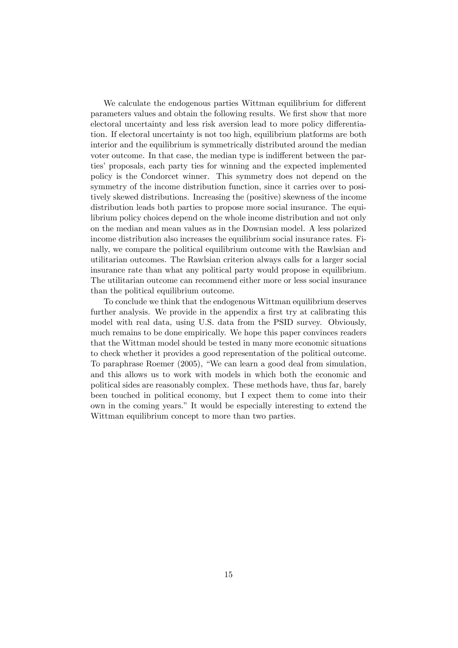We calculate the endogenous parties Wittman equilibrium for different parameters values and obtain the following results. We first show that more electoral uncertainty and less risk aversion lead to more policy differentiation. If electoral uncertainty is not too high, equilibrium platforms are both interior and the equilibrium is symmetrically distributed around the median voter outcome. In that case, the median type is indifferent between the partiesí proposals, each party ties for winning and the expected implemented policy is the Condorcet winner. This symmetry does not depend on the symmetry of the income distribution function, since it carries over to positively skewed distributions. Increasing the (positive) skewness of the income distribution leads both parties to propose more social insurance. The equilibrium policy choices depend on the whole income distribution and not only on the median and mean values as in the Downsian model. A less polarized income distribution also increases the equilibrium social insurance rates. Finally, we compare the political equilibrium outcome with the Rawlsian and utilitarian outcomes. The Rawlsian criterion always calls for a larger social insurance rate than what any political party would propose in equilibrium. The utilitarian outcome can recommend either more or less social insurance than the political equilibrium outcome.

To conclude we think that the endogenous Wittman equilibrium deserves further analysis. We provide in the appendix a first try at calibrating this model with real data, using U.S. data from the PSID survey. Obviously, much remains to be done empirically. We hope this paper convinces readers that the Wittman model should be tested in many more economic situations to check whether it provides a good representation of the political outcome. To paraphrase Roemer (2005), "We can learn a good deal from simulation, and this allows us to work with models in which both the economic and political sides are reasonably complex. These methods have, thus far, barely been touched in political economy, but I expect them to come into their own in the coming years." It would be especially interesting to extend the Wittman equilibrium concept to more than two parties.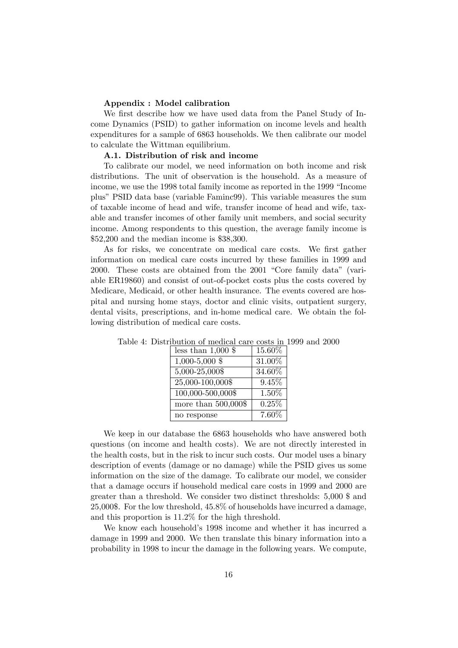#### Appendix : Model calibration

We first describe how we have used data from the Panel Study of Income Dynamics (PSID) to gather information on income levels and health expenditures for a sample of 6863 households. We then calibrate our model to calculate the Wittman equilibrium.

#### A.1. Distribution of risk and income

To calibrate our model, we need information on both income and risk distributions. The unit of observation is the household. As a measure of income, we use the 1998 total family income as reported in the 1999 "Income plus" PSID data base (variable Faminc99). This variable measures the sum of taxable income of head and wife, transfer income of head and wife, taxable and transfer incomes of other family unit members, and social security income. Among respondents to this question, the average family income is \$52,200 and the median income is \$38,300.

As for risks, we concentrate on medical care costs. We first gather information on medical care costs incurred by these families in 1999 and 2000. These costs are obtained from the 2001 "Core family data" (variable ER19860) and consist of out-of-pocket costs plus the costs covered by Medicare, Medicaid, or other health insurance. The events covered are hospital and nursing home stays, doctor and clinic visits, outpatient surgery, dental visits, prescriptions, and in-home medical care. We obtain the following distribution of medical care costs.

| less than $1,000$ \$  | 15.60% |
|-----------------------|--------|
| $1,000 - 5,000$ \$    | 31.00% |
| $5,000 - 25,000$ \$   | 34.60% |
| $25,000 - 100,000$ \$ | 9.45%  |
| 100,000-500,000\$     | 1.50%  |
| more than $500,000\$  | 0.25%  |
| no response           | 7.60%  |

Table 4: Distribution of medical care costs in 1999 and 2000

We keep in our database the 6863 households who have answered both questions (on income and health costs). We are not directly interested in the health costs, but in the risk to incur such costs. Our model uses a binary description of events (damage or no damage) while the PSID gives us some information on the size of the damage. To calibrate our model, we consider that a damage occurs if household medical care costs in 1999 and 2000 are greater than a threshold. We consider two distinct thresholds: 5,000 \$ and 25,000\$. For the low threshold, 45.8% of households have incurred a damage, and this proportion is 11.2% for the high threshold.

We know each household's 1998 income and whether it has incurred a damage in 1999 and 2000. We then translate this binary information into a probability in 1998 to incur the damage in the following years. We compute,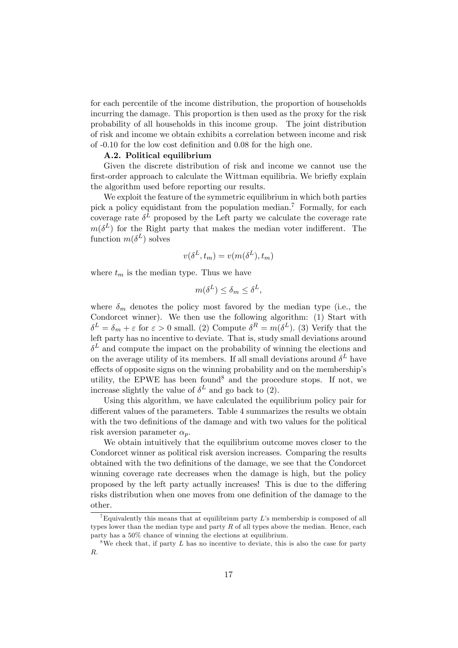for each percentile of the income distribution, the proportion of households incurring the damage. This proportion is then used as the proxy for the risk probability of all households in this income group. The joint distribution of risk and income we obtain exhibits a correlation between income and risk of  $-0.10$  for the low cost definition and 0.08 for the high one.

#### A.2. Political equilibrium

Given the discrete distribution of risk and income we cannot use the first-order approach to calculate the Wittman equilibria. We briefly explain the algorithm used before reporting our results.

We exploit the feature of the symmetric equilibrium in which both parties pick a policy equidistant from the population median.<sup>7</sup> Formally, for each coverage rate  $\delta^L$  proposed by the Left party we calculate the coverage rate  $m(\delta^L)$  for the Right party that makes the median voter indifferent. The function  $m(\delta^L)$  solves

$$
v(\delta^L, t_m) = v(m(\delta^L), t_m)
$$

where  $t_m$  is the median type. Thus we have

$$
m(\delta^L) \le \delta_m \le \delta^L,
$$

where  $\delta_m$  denotes the policy most favored by the median type (i.e., the Condorcet winner). We then use the following algorithm: (1) Start with  $\delta^L = \delta_m + \varepsilon$  for  $\varepsilon > 0$  small. (2) Compute  $\delta^R = m(\delta^L)$ . (3) Verify that the left party has no incentive to deviate. That is, study small deviations around  $\delta^L$  and compute the impact on the probability of winning the elections and on the average utility of its members. If all small deviations around  $\delta^L$  have effects of opposite signs on the winning probability and on the membership's utility, the EPWE has been found<sup>8</sup> and the procedure stops. If not, we increase slightly the value of  $\delta^L$  and go back to (2).

Using this algorithm, we have calculated the equilibrium policy pair for different values of the parameters. Table 4 summarizes the results we obtain with the two definitions of the damage and with two values for the political risk aversion parameter  $\alpha_p$ .

We obtain intuitively that the equilibrium outcome moves closer to the Condorcet winner as political risk aversion increases. Comparing the results obtained with the two definitions of the damage, we see that the Condorcet winning coverage rate decreases when the damage is high, but the policy proposed by the left party actually increases! This is due to the differing risks distribution when one moves from one definition of the damage to the other.

<sup>&</sup>lt;sup>7</sup>Equivalently this means that at equilibrium party L's membership is composed of all types lower than the median type and party  $R$  of all types above the median. Hence, each party has a 50% chance of winning the elections at equilibrium.

<sup>&</sup>lt;sup>8</sup>We check that, if party L has no incentive to deviate, this is also the case for party R.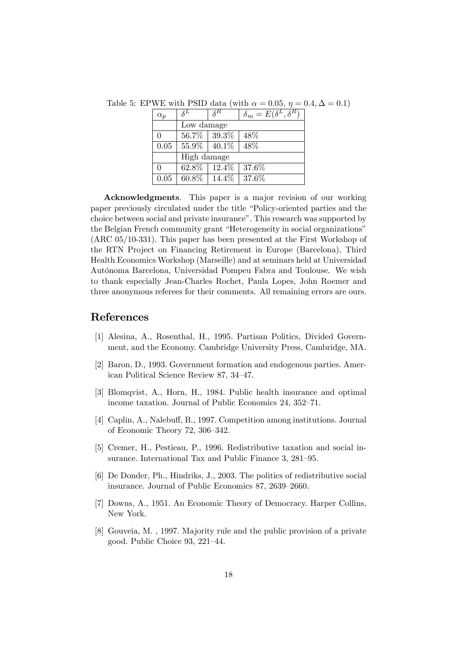$\alpha_p$  $\overline{\delta^L}$  $\overline{\delta^R}$  $\delta_m = E(\delta^L, \delta^R)$ Low damage  $0 \quad 56.7\% \dot{ } 39.3\% \dot{ } 48\%$  $0.05$  55.9\% 40.1\% 48\% High damage  $0 \t | 62.8\% | 12.4\% | 37.6\%$  $0.05 \, \mid 60.8\% \mid 14.4\% \mid 37.6\%$ 

Table 5: EPWE with PSID data (with  $\alpha = 0.05$ ,  $\eta = 0.4, \Delta = 0.1$ )

Acknowledgments. This paper is a major revision of our working paper previously circulated under the title "Policy-oriented parties and the choice between social and private insurance". This research was supported by the Belgian French community grant "Heterogeneity in social organizations" (ARC 05/10-331). This paper has been presented at the First Workshop of the RTN Project on Financing Retirement in Europe (Barcelona), Third Health Economics Workshop (Marseille) and at seminars held at Universidad Autónoma Barcelona, Universidad Pompeu Fabra and Toulouse. We wish to thank especially Jean-Charles Rochet, Paula Lopes, John Roemer and three anonymous referees for their comments. All remaining errors are ours.

### References

- [1] Alesina, A., Rosenthal, H., 1995. Partisan Politics, Divided Government, and the Economy. Cambridge University Press, Cambridge, MA.
- [2] Baron, D., 1993. Government formation and endogenous parties. American Political Science Review 87, 34–47.
- [3] Blomqvist, A., Horn, H., 1984. Public health insurance and optimal income taxation. Journal of Public Economics 24, 352-71.
- [4] Caplin, A., Nalebuff, B., 1997. Competition among institutions. Journal of Economic Theory  $72, 306-342$ .
- [5] Cremer, H., Pestieau, P., 1996. Redistributive taxation and social insurance. International Tax and Public Finance 3, 281–95.
- [6] De Donder, Ph., Hindriks, J., 2003. The politics of redistributive social insurance. Journal of Public Economics 87, 2639–2660.
- [7] Downs, A., 1951. An Economic Theory of Democracy. Harper Collins, New York.
- [8] Gouveia, M. , 1997. Majority rule and the public provision of a private good. Public Choice  $93, 221-44.$